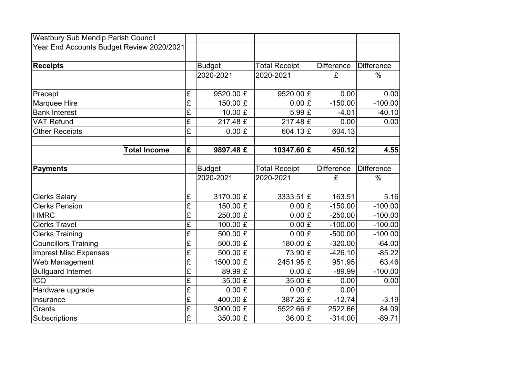| <b>Westbury Sub Mendip Parish Council</b> |                     |                         |                              |                                |                   |                   |
|-------------------------------------------|---------------------|-------------------------|------------------------------|--------------------------------|-------------------|-------------------|
| Year End Accounts Budget Review 2020/2021 |                     |                         |                              |                                |                   |                   |
|                                           |                     |                         |                              |                                |                   |                   |
| <b>Receipts</b>                           |                     |                         | <b>Budget</b>                | <b>Total Receipt</b>           | <b>Difference</b> | <b>Difference</b> |
|                                           |                     |                         | 2020-2021                    | 2020-2021                      | £                 | $\frac{0}{0}$     |
|                                           |                     |                         |                              |                                |                   |                   |
| Precept                                   |                     | £                       | 9520.00 $E$                  | 9520.00 $E$                    | 0.00              | 0.00              |
| Marquee Hire                              |                     | $\overline{\mathbf{f}}$ | 150.00 $E$                   | $0.00$  £                      | $-150.00$         | $-100.00$         |
| <b>Bank Interest</b>                      |                     | $\overline{\mathbf{f}}$ | 10.00 E                      | $5.99$ £                       | $-4.01$           | $-40.10$          |
| <b>VAT Refund</b>                         |                     | $\overline{f}$          | $217.48$ £                   | $217.48$ £                     | 0.00              | 0.00              |
| <b>Other Receipts</b>                     |                     | $\overline{\mathrm{E}}$ | $0.00$ £                     | 604.13 $E$                     | 604.13            |                   |
|                                           |                     |                         |                              |                                |                   |                   |
|                                           | <b>Total Income</b> | £                       | $9897.48 \times$             | 10347.60 £                     | 450.12            | 4.55              |
|                                           |                     |                         |                              |                                |                   |                   |
| <b>Payments</b>                           |                     |                         | <b>Budget</b>                | <b>Total Receipt</b>           | <b>Difference</b> | <b>Difference</b> |
|                                           |                     |                         | 2020-2021                    | 2020-2021                      | £                 | $\%$              |
|                                           |                     |                         |                              |                                |                   |                   |
| <b>Clerks Salary</b>                      |                     | £                       | 3170.00 £                    | $3333.51$ £                    | 163.51            | 5.16              |
| <b>Clerks Pension</b>                     |                     | $\overline{\mathbf{f}}$ | 150.00 $E$                   | $0.00$  £                      | $-150.00$         | $-100.00$         |
| <b>HMRC</b>                               |                     | £                       | $250.00$ £                   | $0.00$  £                      | $-250.00$         | $-100.00$         |
| <b>Clerks Travel</b>                      |                     | $\overline{\mathrm{E}}$ | $100.00$ £                   | $0.00$  £                      | $-100.00$         | $-100.00$         |
| <b>Clerks Training</b>                    |                     | $\overline{f}$          | 500.00 $E$                   | $0.00$ £                       | $-500.00$         | $-100.00$         |
| Councillors Training                      |                     | $\overline{\mathrm{f}}$ | 500.00 $E$                   | 180.00 $E$                     | $-320.00$         | $-64.00$          |
| <b>Imprest Misc Expenses</b>              |                     | $\overline{\mathbf{f}}$ | 500.00 $E$                   | 73.90 £                        | $-426.10$         | $-85.22$          |
| Web Management                            |                     | $\overline{\mathbf{f}}$ | $1500.00$ £                  | $2451.95 \times$               | 951.95            | 63.46             |
| <b>Bullguard Internet</b>                 |                     | $\overline{E}$          | $89.99$ $E$                  | $0.00$ £                       | $-89.99$          | $-100.00$         |
| <b>ICO</b>                                |                     | $\overline{\mathbf{f}}$ | $35.00 \, \mathrm{\rvert}$ £ | $35.00 \, \mathrm{\rvert}$ £   | 0.00              | 0.00              |
| Hardware upgrade                          |                     | $\overline{\mathbf{E}}$ | $0.00$  £                    | $0.00$  £                      | 0.00              |                   |
| Insurance                                 |                     | $\overline{\mathrm{f}}$ | 400.00 $E$                   | $387.26 \, \mathrm{\acute{E}}$ | $-12.74$          | $-3.19$           |
| Grants                                    |                     | $\overline{E}$          | $3000.00$ £                  | 5522.66 £                      | 2522.66           | 84.09             |
| Subscriptions                             |                     | $\overline{\mathbf{E}}$ | 350.00 $E$                   | $36.00 \times$                 | $-314.00$         | $-89.71$          |